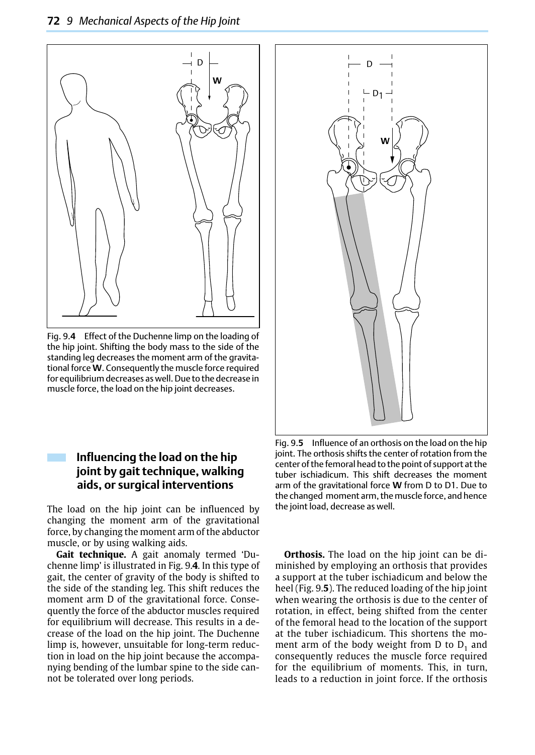

Fig. 9.**4** Effect of the Duchenne limp on the loading of the hip joint. Shifting the body mass to the side of the standing leg decreases the moment arm of the gravitational force **W**. Consequently the muscle force required for equilibrium decreases as well. Due to the decrease in muscle force, the load on the hip joint decreases.

## **Influencing the load on the hip joint by gait technique, walking aids, or surgical interventions**

The load on the hip joint can be influenced by changing the moment arm of the gravitational force, by changing the moment arm of the abductor muscle, or by using walking aids.

**Gait technique.** A gait anomaly termed 'Duchenne limp' is illustrated in Fig. 9.**4**. In this type of gait, the center of gravity of the body is shifted to the side of the standing leg. This shift reduces the moment arm D of the gravitational force. Consequently the force of the abductor muscles required for equilibrium will decrease. This results in a decrease of the load on the hip joint. The Duchenne limp is, however, unsuitable for long-term reduction in load on the hip joint because the accompanying bending of the lumbar spine to the side cannot be tolerated over long periods.

Fig. 9.**5** Influence of an orthosis on the load on the hip joint. The orthosis shifts the center of rotation from the center of the femoral head to the point of support at the tuber ischiadicum. This shift decreases the moment arm of the gravitational force **W** from D to D1. Due to the changed moment arm, the muscle force, and hence the joint load, decrease as well.

W

D

 $D<sub>1</sub>$ 

**Orthosis.** The load on the hip joint can be diminished by employing an orthosis that provides a support at the tuber ischiadicum and below the heel (Fig. 9.**5**). The reduced loading of the hip joint when wearing the orthosis is due to the center of rotation, in effect, being shifted from the center of the femoral head to the location of the support at the tuber ischiadicum. This shortens the moment arm of the body weight from D to  $D_1$  and consequently reduces the muscle force required for the equilibrium of moments. This, in turn, leads to a reduction in joint force. If the orthosis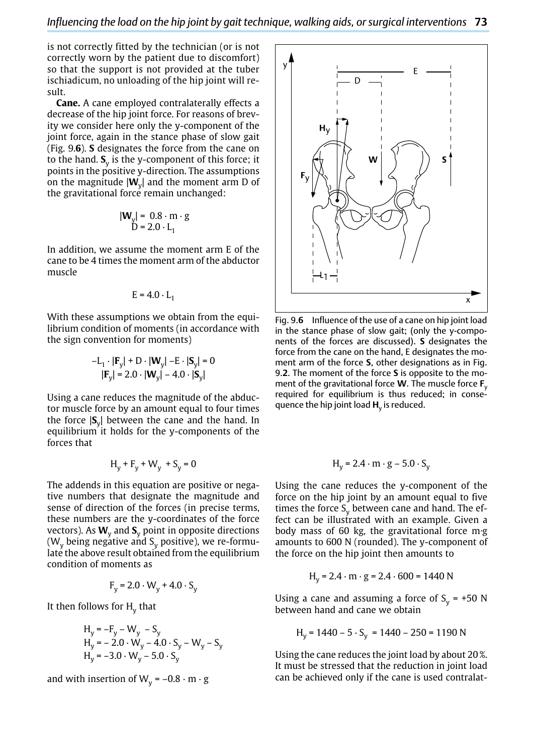is not correctly fitted by the technician (or is not correctly worn by the patient due to discomfort) so that the support is not provided at the tuber ischiadicum, no unloading of the hip joint will result.

**Cane.** A cane employed contralaterally effects a decrease of the hip joint force. For reasons of brevity we consider here only the y-component of the joint force, again in the stance phase of slow gait (Fig. 9.**6**). **S** designates the force from the cane on to the hand.  $S_y$  is the y-component of this force; it points in the positive y-direction. The assumptions on the magnitude  $|\mathbf{W}_v|$  and the moment arm D of the gravitational force remain unchanged:

$$
|\mathbf{W}_y| = 0.8 \cdot m \cdot g
$$
  
 
$$
D = 2.0 \cdot L_1
$$

In addition, we assume the moment arm E of the cane to be 4 times the moment arm of the abductor muscle

$$
E = 4.0 \cdot L_1
$$

With these assumptions we obtain from the equilibrium condition of moments (in accordance with the sign convention for moments)

$$
-L_1 \cdot |\mathbf{F}_y| + D \cdot |\mathbf{W}_y| - E \cdot |\mathbf{S}_y| = 0
$$

$$
|\mathbf{F}_y| = 2.0 \cdot |\mathbf{W}_y| - 4.0 \cdot |\mathbf{S}_y|
$$

Using a cane reduces the magnitude of the abductor muscle force by an amount equal to four times the force |**S**y| between the cane and the hand. In equilibrium it holds for the y-components of the forces that

$$
H_y + F_y + W_y + S_y = 0
$$

The addends in this equation are positive or negative numbers that designate the magnitude and sense of direction of the forces (in precise terms, these numbers are the y-coordinates of the force vectors). As  $W_{v}$  and  $S_{v}$  point in opposite directions ( $W<sub>v</sub>$  being negative and  $S<sub>v</sub>$  positive), we re-formulate the above result obtained from the equilibrium condition of moments as

$$
F_y = 2.0 \cdot W_y + 4.0 \cdot S_y
$$

It then follows for  $H_v$  that

$$
H_y = -F_y - W_y - S_y
$$
  
\n
$$
H_y = -2.0 \cdot W_y - 4.0 \cdot S_y - W_y - S_y
$$
  
\n
$$
H_y = -3.0 \cdot W_y - 5.0 \cdot S_y
$$

and with insertion of  $W_v = -0.8 \cdot m \cdot g$ 



Fig. 9.**6** Influence of the use of a cane on hip joint load in the stance phase of slow gait; (only the y-components of the forces are discussed). **S** designates the force from the cane on the hand, E designates the moment arm of the force **S**, other designations as in Fig. 9.**2**. The moment of the force **S** is opposite to the moment of the gravitational force **W**. The muscle force **F**<sup>y</sup> required for equilibrium is thus reduced; in consequence the hip joint load **H**<sub>y</sub> is reduced.

$$
H_y = 2.4 \cdot m \cdot g - 5.0 \cdot S_y
$$

Using the cane reduces the y-component of the force on the hip joint by an amount equal to five times the force  $S_{v}$  between cane and hand. The effect can be illustrated with an example. Given a body mass of 60 kg, the gravitational force m⋅g amounts to 600 N (rounded). The y-component of the force on the hip joint then amounts to

$$
H_y = 2.4 \cdot m \cdot g = 2.4 \cdot 600 = 1440 N
$$

Using a cane and assuming a force of  $S_v = +50$  N between hand and cane we obtain

$$
H_y = 1440 - 5 \cdot S_y = 1440 - 250 = 1190 N
$$

Using the cane reduces the joint load by about 20 %. It must be stressed that the reduction in joint load can be achieved only if the cane is used contralat